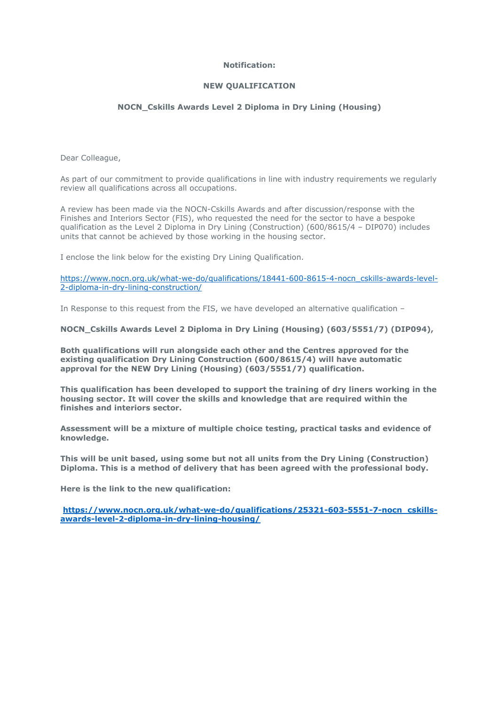# **Notification:**

## **NEW QUALIFICATION**

# **NOCN\_Cskills Awards Level 2 Diploma in Dry Lining (Housing)**

Dear Colleague,

As part of our commitment to provide qualifications in line with industry requirements we regularly review all qualifications across all occupations.

A review has been made via the NOCN-Cskills Awards and after discussion/response with the Finishes and Interiors Sector (FIS), who requested the need for the sector to have a bespoke qualification as the Level 2 Diploma in Dry Lining (Construction) (600/8615/4 – DIP070) includes units that cannot be achieved by those working in the housing sector.

I enclose the link below for the existing Dry Lining Qualification.

[https://www.nocn.org.uk/what-we-do/qualifications/18441-600-8615-4-nocn\\_cskills-awards-level-](https://www.nocn.org.uk/what-we-do/qualifications/18441-600-8615-4-nocn_cskills-awards-level-2-diploma-in-dry-lining-construction/)[2-diploma-in-dry-lining-construction/](https://www.nocn.org.uk/what-we-do/qualifications/18441-600-8615-4-nocn_cskills-awards-level-2-diploma-in-dry-lining-construction/)

In Response to this request from the FIS, we have developed an alternative qualification –

**NOCN\_Cskills Awards Level 2 Diploma in Dry Lining (Housing) (603/5551/7) (DIP094),**

**Both qualifications will run alongside each other and the Centres approved for the existing qualification Dry Lining Construction (600/8615/4) will have automatic approval for the NEW Dry Lining (Housing) (603/5551/7) qualification.**

**This qualification has been developed to support the training of dry liners working in the housing sector. It will cover the skills and knowledge that are required within the finishes and interiors sector.**

**Assessment will be a mixture of multiple choice testing, practical tasks and evidence of knowledge.**

**This will be unit based, using some but not all units from the Dry Lining (Construction) Diploma. This is a method of delivery that has been agreed with the professional body.**

**Here is the link to the new qualification:**

**[https://www.nocn.org.uk/what-we-do/qualifications/25321-603-5551-7-nocn\\_cskills](https://www.nocn.org.uk/what-we-do/qualifications/25321-603-5551-7-nocn_cskills-awards-level-2-diploma-in-dry-lining-housing/)[awards-level-2-diploma-in-dry-lining-housing/](https://www.nocn.org.uk/what-we-do/qualifications/25321-603-5551-7-nocn_cskills-awards-level-2-diploma-in-dry-lining-housing/)**